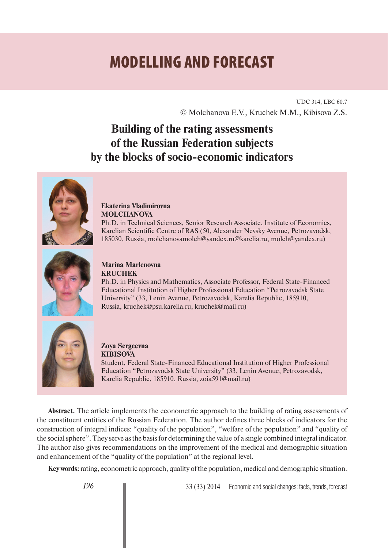# **MODELLING AND FORECAST**

UDC 314, LBC 60.7 © Molchanova E.V., Kruchek M.M., Kibisova Z.S.

## **Building of the rating assessments of the Russian Federation subjects by the blocks of socio-economic indicators**



## **Ekaterina Vladimirovna MOLCHANOVA**

Ph.D. in Technical Sciences, Senior Research Associate, Institute of Economics, Karelian Scientific Centre of RAS (50, Alexander Nevsky Avenue, Petrozavodsk, 185030, Russia, molchanovamolch@yandex.ru@karelia.ru, molch@yandex.ru)



## **Marina Marlenovna KRUCHEK**

Ph.D. in Physics and Mathematics, Associate Professor, Federal State-Financed Educational Institution of Higher Professional Education "Petrozavodsk State University" (33, Lenin Avenue, Petrozavodsk, Karelia Republic, 185910, Russia, kruchek@psu.karelia.ru, kruchek@mail.ru)



#### **Zoya Sergeevna KIBISOVA**

Student, Federal State-Financed Educational Institution of Higher Professional Education "Petrozavodsk State University" (33, Lenin Avenue, Petrozavodsk, Karelia Republic, 185910, Russia, zoia591@mail.ru)

**Abstract.** The article implements the econometric approach to the building of rating assessments of the constituent entities of the Russian Federation. The author defines three blocks of indicators for the construction of integral indices: "quality of the population", "welfare of the population" and "quality of the social sphere". They serve as the basis for determining the value of a single combined integral indicator. The author also gives recommendations on the improvement of the medical and demographic situation and enhancement of the "quality of the population" at the regional level.

**Key words:** rating, econometric approach, quality of the population, medical and demographic situation.

196 **■ 33 (33) 2014** Economic and social changes: facts, trends, forecast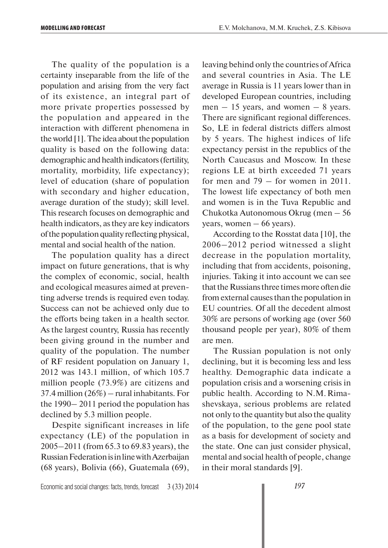The quality of the population is a certainty inseparable from the life of the population and arising from the very fact of its existence, an integral part of more private properties possessed by the population and appeared in the interaction with different phenomena in the world [1]. The idea about the population quality is based on the following data: demographic and health indicators (fertility, mortality, morbidity, life expectancy); level of education (share of population with secondary and higher education, average duration of the study); skill level. This research focuses on demographic and health indicators, as they are key indicators of the population quality reflecting physical, mental and social health of the nation.

The population quality has a direct impact on future generations, that is why the complex of economic, social, health and ecological measures aimed at preventing adverse trends is required even today. Success can not be achieved only due to the efforts being taken in a health sector. As the largest country, Russia has recently been giving ground in the number and quality of the population. The number of RF resident population on January 1, 2012 was 143.1 million, of which 105.7 million people (73.9%) are citizens and 37.4 million (26%) – rural inhabitants. For the 1990– 2011 period the population has declined by 5.3 million people.

Despite significant increases in life expectancy (LE) of the population in 2005–2011 (from 65.3 to 69.83 years), the Russian Federation is in line with Azerbaijan (68 years), Bolivia (66), Guatemala (69), leaving behind only the countries of Africa and several countries in Asia. The LE average in Russia is 11 years lower than in developed European countries, including men  $-15$  years, and women  $-8$  years. There are significant regional differences. So, LE in federal districts differs almost by 5 years. The highest indices of life expectancy persist in the republics of the North Caucasus and Moscow. In these regions LE at birth exceeded 71 years for men and 79 – for women in 2011. The lowest life expectancy of both men and women is in the Tuva Republic and Chukotka Autonomous Okrug (men – 56 years, women  $-66$  years).

According to the Rosstat data [10], the 2006–2012 period witnessed a slight decrease in the population mortality, including that from accidents, poisoning, injuries. Taking it into account we can see that the Russians three times more often die from external causes than the population in EU countries. Of all the decedent almost 30% are persons of working age (over 560 thousand people per year), 80% of them are men.

The Russian population is not only declining, but it is becoming less and less healthy. Demographic data indicate a population crisis and a worsening crisis in public health. According to N.M. Rimashevskaya, serious problems are related not only to the quantity but also the quality of the population, to the gene pool state as a basis for development of society and the state. One can just consider physical, mental and social health of people, change in their moral standards [9].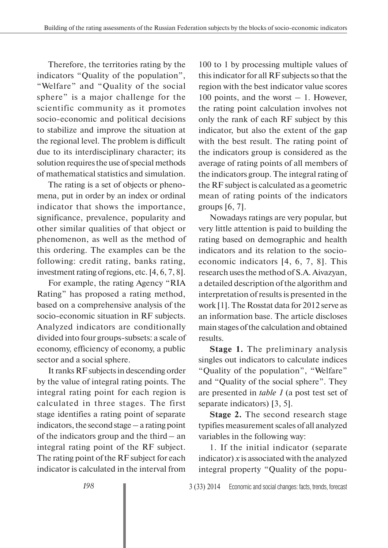Therefore, the territories rating by the indicators "Quality of the population", "Welfare" and "Quality of the social sphere" is a major challenge for the scientific community as it promotes socio-economic and political decisions to stabilize and improve the situation at the regional level. The problem is difficult due to its interdisciplinary character; its solution requires the use of special methods of mathematical statistics and simulation.

The rating is a set of objects or phenomena, put in order by an index or ordinal indicator that shows the importance, significance, prevalence, popularity and other similar qualities of that object or phenomenon, as well as the method of this ordering. The examples can be the following: credit rating, banks rating, investment rating of regions, etc. [4, 6, 7, 8].

For example, the rating Agency "RIA Rating" has proposed a rating method, based on a comprehensive analysis of the socio-economic situation in RF subjects. Analyzed indicators are conditionally divided into four groups-subsets: a scale of economy, efficiency of economy, a public sector and a social sphere.

It ranks RF subjects in descending order by the value of integral rating points. The integral rating point for each region is calculated in three stages. The first stage identifies a rating point of separate indicators, the second stage – a rating point of the indicators group and the third – an integral rating point of the RF subject. The rating point of the RF subject for each indicator is calculated in the interval from

100 to 1 by processing multiple values of this indicator for all RF subjects so that the region with the best indicator value scores 100 points, and the worst  $-1$ . However, the rating point calculation involves not only the rank of each RF subject by this indicator, but also the extent of the gap with the best result. The rating point of the indicators group is considered as the average of rating points of all members of the indicators group. The integral rating of the RF subject is calculated as a geometric mean of rating points of the indicators groups [6, 7].

Nowadays ratings are very popular, but very little attention is paid to building the rating based on demographic and health indicators and its relation to the socioeconomic indicators [4, 6, 7, 8]. This research uses the method of S.A. Aivazyan, a detailed description of the algorithm and interpretation of results is presented in the work [1]. The Rosstat data for 2012 serve as an information base. The article discloses main stages of the calculation and obtained results.

**Stage 1.** The preliminary analysis singles out indicators to calculate indices "Quality of the population", "Welfare" and "Quality of the social sphere". They are presented in *table 1* (a post test set of separate indicators) [3, 5].

**Stage 2.** The second research stage typifies measurement scales of all analyzed variables in the following way:

1. If the initial indicator (separate indicator)  $x$  is associated with the analyzed integral property "Quality of the popu-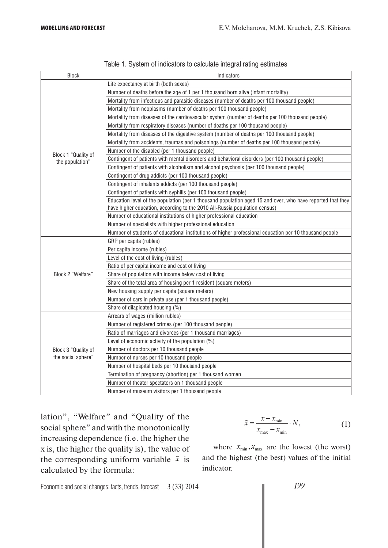| Block                                  | Indicators                                                                                                 |
|----------------------------------------|------------------------------------------------------------------------------------------------------------|
|                                        | Life expectancy at birth (both sexes)                                                                      |
|                                        | Number of deaths before the age of 1 per 1 thousand born alive (infant mortality)                          |
|                                        | Mortality from infectious and parasitic diseases (number of deaths per 100 thousand people)                |
|                                        | Mortality from neoplasms (number of deaths per 100 thousand people)                                        |
|                                        | Mortality from diseases of the cardiovascular system (number of deaths per 100 thousand people)            |
|                                        | Mortality from respiratory diseases (number of deaths per 100 thousand people)                             |
|                                        | Mortality from diseases of the digestive system (number of deaths per 100 thousand people)                 |
|                                        | Mortality from accidents, traumas and poisonings (number of deaths per 100 thousand people)                |
|                                        | Number of the disabled (per 1 thousand people)                                                             |
| Block 1 "Quality of<br>the population" | Contingent of patients with mental disorders and behavioral disorders (per 100 thousand people)            |
|                                        | Contingent of patients with alcoholism and alcohol psychosis (per 100 thousand people)                     |
|                                        | Contingent of drug addicts (per 100 thousand people)                                                       |
|                                        | Contingent of inhalants addicts (per 100 thousand people)                                                  |
|                                        | Contingent of patients with syphilis (per 100 thousand people)                                             |
|                                        | Education level of the population (per 1 thousand population aged 15 and over, who have reported that they |
|                                        | have higher education, according to the 2010 All-Russia population census)                                 |
|                                        | Number of educational institutions of higher professional education                                        |
|                                        | Number of specialists with higher professional education                                                   |
|                                        | Number of students of educational institutions of higher professional education per 10 thousand people     |
|                                        | GRP per capita (rubles)                                                                                    |
|                                        | Per capita income (rubles)                                                                                 |
|                                        | Level of the cost of living (rubles)                                                                       |
|                                        | Ratio of per capita income and cost of living                                                              |
| Block 2 "Welfare"                      | Share of population with income below cost of living                                                       |
|                                        | Share of the total area of housing per 1 resident (square meters)                                          |
|                                        | New housing supply per capita (square meters)                                                              |
|                                        | Number of cars in private use (per 1 thousand people)                                                      |
|                                        | Share of dilapidated housing (%)                                                                           |
|                                        | Arrears of wages (million rubles)                                                                          |
|                                        | Number of registered crimes (per 100 thousand people)                                                      |
|                                        | Ratio of marriages and divorces (per 1 thousand marriages)                                                 |
|                                        | Level of economic activity of the population (%)                                                           |
| Block 3 "Quality of                    | Number of doctors per 10 thousand people                                                                   |
| the social sphere"                     | Number of nurses per 10 thousand people                                                                    |
|                                        | Number of hospital beds per 10 thousand people                                                             |
|                                        | Termination of pregnancy (abortion) per 1 thousand women                                                   |
|                                        | Number of theater spectators on 1 thousand people                                                          |
|                                        | Number of museum visitors per 1 thousand people                                                            |

|  | Table 1. System of indicators to calculate integral rating estimates |  |  |
|--|----------------------------------------------------------------------|--|--|
|  |                                                                      |  |  |

lation", "Welfare" and "Quality of the social sphere" and with the monotonically increasing dependence (i.e. the higher the x is, the higher the quality is), the value of the corresponding uniform variable  $\tilde{x}$  is calculated by the formula:

$$
\tilde{x} = \frac{x - x_{\min}}{x_{\max} - x_{\min}} \cdot N,
$$
\n(1)

where  $x_{\text{min}}$ ,  $x_{\text{max}}$  are the lowest (the worst) and the highest (the best) values of the initial indicator.

Economic and social changes: facts, trends, forecast 3 (33) 2014

*199*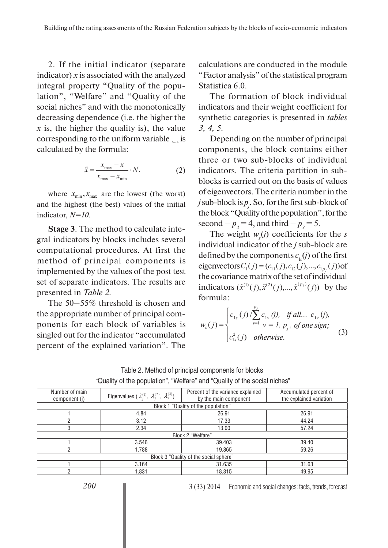2. If the initial indicator (separate indicator)  $x$  is associated with the analyzed integral property "Quality of the population", "Welfare" and "Quality of the social niches" and with the monotonically decreasing dependence (i.e. the higher the *x* is, the higher the quality is), the value corresponding to the uniform variable  $\cdot$ , is calculated by the formula:

$$
\tilde{x} = \frac{x_{\text{max}} - x}{x_{\text{max}} - x_{\text{min}}} \cdot N,\tag{2}
$$

where  $x_{\text{min}}$ ,  $x_{\text{max}}$  are the lowest (the worst) and the highest (the best) values of the initial indicator, *N=10*.

**Stage 3**. The method to calculate integral indicators by blocks includes several computational procedures. At first the method of principal components is implemented by the values of the post test set of separate indicators. The results are presented in *Table 2*.

The 50–55% threshold is chosen and the appropriate number of principal components for each block of variables is singled out for the indicator "accumulated percent of the explained variation". The calculations are conducted in the module "Factor analysis" of the statistical program Statistica 6.0.

The formation of block individual indicators and their weight coefficient for synthetic categories is presented in *tables 3, 4, 5*.

Depending on the number of principal components, the block contains either three or two sub-blocks of individual indicators. The criteria partition in subblocks is carried out on the basis of values of eigenvectors. The criteria number in the *j* sub-block is  $p_j$ . So, for the first sub-block of the block "Quality of the population", for the second  $-p_2 = 4$ , and third  $-p_3 = 5$ .

The weight  $w_s(j)$  coefficients for the *s* individual indicator of the *j* sub-block are defined by the components  $c_{ls}(j)$  of the first eigenvectors  $C_1(j) = (c_{11}(j), c_{12}(j), ..., c_{1p_i}(j))$  of the covariance matrix of the set of individual indicators  $(\tilde{x}^{(1)}(j), \tilde{x}^{(2)}(j),..., \tilde{x}^{(p_j)}(j))$  by the formula:

$$
w_{s}(j) = \begin{cases} c_{1s}(j) / \sum_{\nu=1}^{p_{j}} c_{1\nu}(j), & \text{if all... } c_{1\nu}(j), \\ c_{1s}^{2}(j) & \text{otherwise.} \end{cases}
$$
 (3)

| Table 2. Method of principal components for blocks                        |  |
|---------------------------------------------------------------------------|--|
| "Quality of the population", "Welfare" and "Quality of the social niches" |  |

| Number of main<br>component (j) | Eigenvalues $(\lambda_i^{(1)}, \lambda_i^{(2)}, \lambda_j^{(3)})$ | Percent of the variance explained<br>by the main component | Accumulated percent of<br>the explained variation |  |  |  |  |  |  |
|---------------------------------|-------------------------------------------------------------------|------------------------------------------------------------|---------------------------------------------------|--|--|--|--|--|--|
|                                 |                                                                   | Block 1 "Quality of the population"                        |                                                   |  |  |  |  |  |  |
|                                 | 4.84                                                              | 26.91                                                      | 26.91                                             |  |  |  |  |  |  |
|                                 | 3.12                                                              | 17.33                                                      | 44.24                                             |  |  |  |  |  |  |
| 3                               | 2.34                                                              | 13.00                                                      | 57.24                                             |  |  |  |  |  |  |
|                                 |                                                                   | Block 2 "Welfare"                                          |                                                   |  |  |  |  |  |  |
|                                 | 3.546                                                             | 39.403                                                     | 39.40                                             |  |  |  |  |  |  |
|                                 | 1.788                                                             | 19.865                                                     | 59.26                                             |  |  |  |  |  |  |
|                                 | Block 3 "Quality of the social sphere"                            |                                                            |                                                   |  |  |  |  |  |  |
|                                 | 3.164                                                             | 31.635                                                     | 31.63                                             |  |  |  |  |  |  |
| റ                               | 1.831                                                             | 18.315                                                     | 49.95                                             |  |  |  |  |  |  |

3 (33) 2014 Economic and social changes: facts, trends, forecast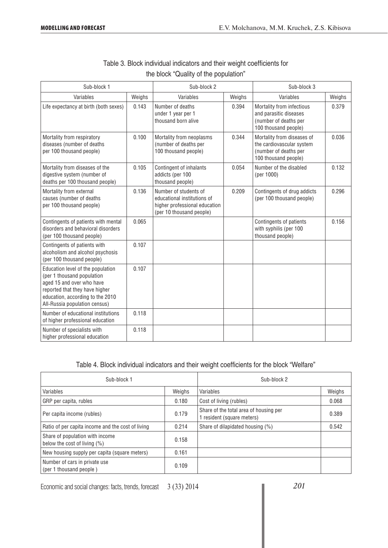| Sub-block 1                                                                                                                                                                                         |        | Sub-block 2                                                                                                       |        | Sub-block 3                                                                                              |        |  |
|-----------------------------------------------------------------------------------------------------------------------------------------------------------------------------------------------------|--------|-------------------------------------------------------------------------------------------------------------------|--------|----------------------------------------------------------------------------------------------------------|--------|--|
| Variables                                                                                                                                                                                           | Weighs | Variables                                                                                                         | Weighs | Variables                                                                                                | Weighs |  |
| Life expectancy at birth (both sexes)                                                                                                                                                               | 0.143  | Number of deaths<br>under 1 year per 1<br>thousand born alive                                                     | 0.394  | Mortality from infectious<br>and parasitic diseases<br>(number of deaths per<br>100 thousand people)     | 0.379  |  |
| Mortality from respiratory<br>diseases (number of deaths<br>per 100 thousand people)                                                                                                                | 0.100  | Mortality from neoplasms<br>(number of deaths per<br>100 thousand people)                                         | 0.344  | Mortality from diseases of<br>the cardiovascular system<br>(number of deaths per<br>100 thousand people) | 0.036  |  |
| Mortality from diseases of the<br>digestive system (number of<br>deaths per 100 thousand people)                                                                                                    | 0.105  | Contingent of inhalants<br>addicts (per 100<br>thousand people)                                                   | 0.054  | Number of the disabled<br>(per 1000)                                                                     | 0.132  |  |
| Mortality from external<br>causes (number of deaths<br>per 100 thousand people)                                                                                                                     | 0.136  | Number of students of<br>educational institutions of<br>higher professional education<br>(per 10 thousand people) | 0.209  | Contingents of drug addicts<br>(per 100 thousand people)                                                 | 0.296  |  |
| Contingents of patients with mental<br>disorders and behavioral disorders<br>(per 100 thousand people)                                                                                              | 0.065  |                                                                                                                   |        | Contingents of patients<br>with syphilis (per 100<br>thousand people)                                    | 0.156  |  |
| Contingents of patients with<br>alcoholism and alcohol psychosis<br>(per 100 thousand people)                                                                                                       | 0.107  |                                                                                                                   |        |                                                                                                          |        |  |
| Education level of the population<br>(per 1 thousand population<br>aged 15 and over who have<br>reported that they have higher<br>education, according to the 2010<br>All-Russia population census) | 0.107  |                                                                                                                   |        |                                                                                                          |        |  |
| Number of educational institutions<br>of higher professional education                                                                                                                              | 0.118  |                                                                                                                   |        |                                                                                                          |        |  |
| Number of specialists with<br>higher professional education                                                                                                                                         | 0.118  |                                                                                                                   |        |                                                                                                          |        |  |

## Table 3. Block individual indicators and their weight coefficients for the block "Quality of the population"

## Table 4. Block individual indicators and their weight coefficients for the block "Welfare"

| Sub-block 1                                                     |        | Sub-block 2                                                          |        |
|-----------------------------------------------------------------|--------|----------------------------------------------------------------------|--------|
| Variables                                                       | Weighs | Variables                                                            | Weighs |
| GRP per capita, rubles                                          | 0.180  | Cost of living (rubles)                                              | 0.068  |
| Per capita income (rubles)                                      | 0.179  | Share of the total area of housing per<br>1 resident (square meters) | 0.389  |
| Ratio of per capita income and the cost of living               | 0.214  | Share of dilapidated housing (%)                                     | 0.542  |
| Share of population with income<br>below the cost of living (%) | 0.158  |                                                                      |        |
| New housing supply per capita (square meters)                   | 0.161  |                                                                      |        |
| Number of cars in private use<br>(per 1 thousand people)        | 0.109  |                                                                      |        |

Economic and social changes: facts, trends, forecast 3 (33) 2014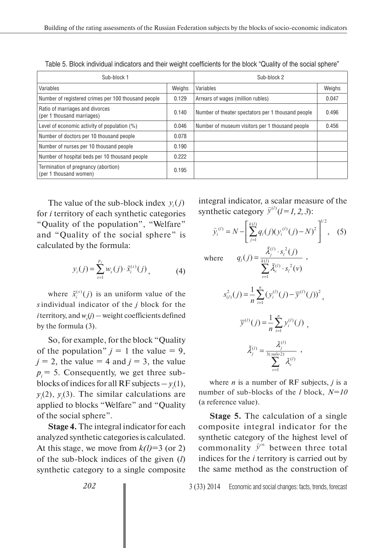| Sub-block 1                                                   | Sub-block 2 |                                                    |        |  |
|---------------------------------------------------------------|-------------|----------------------------------------------------|--------|--|
| Variables                                                     | Weighs      | Variables                                          | Weighs |  |
| Number of registered crimes per 100 thousand people           | 0.129       | Arrears of wages (million rubles)                  | 0.047  |  |
| Ratio of marriages and divorces<br>(per 1 thousand marriages) | 0.140       | Number of theater spectators per 1 thousand people | 0.496  |  |
| Level of economic activity of population $(\%)$               | 0.046       | Number of museum visitors per 1 thousand people    | 0.456  |  |
| Number of doctors per 10 thousand people                      | 0.078       |                                                    |        |  |
| Number of nurses per 10 thousand people                       | 0.190       |                                                    |        |  |
| Number of hospital beds per 10 thousand people                | 0.222       |                                                    |        |  |
| Termination of pregnancy (abortion)<br>(per 1 thousand women) | 0.195       |                                                    |        |  |

Table 5. Block individual indicators and their weight coefficients for the block "Quality of the social sphere"

The value of the sub-block index  $y_i(j)$ for *i* territory of each synthetic categories "Quality of the population", "Welfare" and "Quality of the social sphere" is calculated by the formula:

$$
y_i(j) = \sum_{s=1}^{p_j} w_s(j) \cdot \tilde{x}_i^{(s)}(j) , \qquad (4)
$$

where  $\tilde{x}_i^{(s)}(j)$  is an uniform value of the *s* individual indicator of the *j* block for the *i* territory, and  $w_s(j)$  – weight coefficients defined by the formula (3).

So, for example, for the block "Quality of the population"  $j = 1$  the value = 9,  $j = 2$ , the value = 4 and  $j = 3$ , the value  $p_i = 5$ . Consequently, we get three subblocks of indices for all  $RF$  subjects  $-y_i(1)$ ,  $y_i(2)$ ,  $y_i(3)$ . The similar calculations are applied to blocks "Welfare" and "Quality of the social sphere".

**Stage 4.** The integral indicator for each analyzed synthetic categories is calculated. At this stage, we move from  $k(l)=3$  (or 2) of the sub-block indices of the given (*l*) synthetic category to a single composite integral indicator, a scalar measure of the synthetic category  $\hat{y}^{(l)}$  (*l* = 1, 2, 3):

$$
\hat{y}_i^{(l)} = N - \left[ \sum_{j=1}^{k(l)} q_i(j) (y_i^{(l)}(j) - N)^2 \right]^{1/2}, \quad (5)
$$

 $(l)$   $\sim$  2

 $\sum_{i=1}^{(l)}$   $\tilde{q}^{(l)}$   $\approx$   $\tilde{q}^{(l)}$ 

her where  $q_l(j) = \frac{\lambda_j}{k(l)} \frac{S_l(j)}{S_l(j)}$ ,

$$
\sum_{v=1}^{\infty} \tilde{\lambda}_{v}^{(l)} \cdot s_{l}^{2}(v)
$$

$$
s_{(l)}^{2}(j) = \frac{1}{n} \sum_{i=1}^{n} (y_{i}^{(l)}(j) - \overline{y}^{(l)}(j))^{2},
$$

 $(j) = \frac{\lambda_j^{(l)} \cdot s_l^{(2)}(j)}{k(l)}$ 

 $\lambda^0$ 

ã

 $q_i(j) = \frac{\lambda_j^{(l)} \cdot s_i^{2}(j)}{k(i)}$ 

 $=\frac{\lambda_j^{(l)}\cdot}{\lambda_j^{(l)}}$ 

 $\frac{1}{\sqrt{1}}$   $\frac{k(l)}{l}$   $\frac{1}{l}$ 

*l j l*

$$
\overline{y}^{(l)}(j) = \frac{1}{n} \sum_{i=1}^{n} y_i^{(l)}(j) ,
$$

$$
\tilde{\lambda}_j^{(l)} = \frac{\lambda_j^{(l)}}{\sum_{v=1}^{3(m602)}} ,
$$

where *n* is a number of RF subjects, *j* is a number of sub-blocks of the *l* block, *N=10* (a reference value).

**Stage 5.** The calculation of a single composite integral indicator for the synthetic category of the highest level of commonality  $\hat{y}^{c\alpha}$  between three total indices for the *i* territory is carried out by the same method as the construction of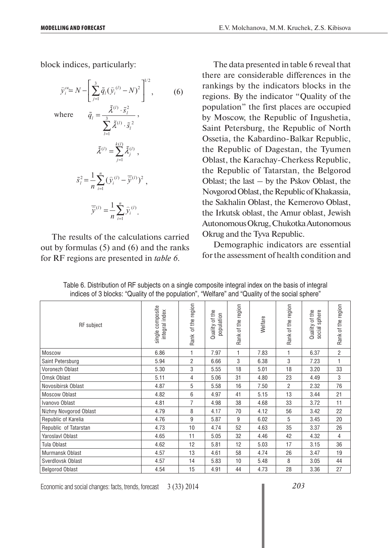block indices, particularly:

$$
\hat{y}_i^{cs} = N - \left[\sum_{j=1}^3 \tilde{q}_l (\hat{y}_i^{(l)} - N)^2\right]^{1/2},
$$
\n(6)

\nwhere

\n
$$
\tilde{q}_l = \frac{\tilde{\lambda}^{(l)} \cdot \tilde{s}_l^2}{\sum_{l=1}^3 \tilde{\lambda}^{(l)} \cdot \tilde{s}_l^2},
$$
\n
$$
\tilde{\lambda}^{(l)} = \sum_{j=1}^{k(l)} \tilde{\lambda}_j^{(l)},
$$
\n
$$
\tilde{s}_l^2 = \frac{1}{n} \sum_{i=1}^n (\hat{y}_i^{(l)} - \overline{\hat{y}}^{(l)})^2,
$$
\n
$$
\overline{\hat{y}}^{(l)} = \frac{1}{n} \sum_{i=1}^n \hat{y}_i^{(l)}.
$$
\n(6)

The results of the calculations carried out by formulas (5) and (6) and the ranks for RF regions are presented in *table 6*.

The data presented in table 6 reveal that there are considerable differences in the rankings by the indicators blocks in the regions. By the indicator "Quality of the population" the first places are occupied by Moscow, the Republic of Ingushetia, Saint Petersburg, the Republic of North Ossetia, the Kabardino-Balkar Republic, the Republic of Dagestan, the Tyumen Oblast, the Karachay-Cherkess Republic, the Republic of Tatarstan, the Belgorod Oblast; the last – by the Pskov Oblast, the Novgorod Oblast, the Republic of Khakassia, the Sakhalin Oblast, the Kemerovo Oblast, the Irkutsk oblast, the Amur oblast, Jewish Autonomous Okrug, Chukotka Autonomous Okrug and the Tyva Republic.

Demographic indicators are essential for the assessment of health condition and

| <b>RF</b> subject      | single composite<br>integral index | of the region<br>Rank | Quality of the<br>population | Rank of the region | Welfare | Rank of the region | Quality of the<br>social sphere | Rank of the region |
|------------------------|------------------------------------|-----------------------|------------------------------|--------------------|---------|--------------------|---------------------------------|--------------------|
| <b>Moscow</b>          | 6.86                               | 1                     | 7.97                         | $\mathbf{1}$       | 7.83    | 1                  | 6.37                            | $\overline{2}$     |
| Saint Petersburg       | 5.94                               | $\overline{2}$        | 6.66                         | 3                  | 6.38    | 3                  | 7.23                            | 1                  |
| Voronezh Oblast        | 5.30                               | 3                     | 5.55                         | 18                 | 5.01    | 18                 | 3.20                            | 33                 |
| Omsk Oblast            | 5.11                               | 4                     | 5.06                         | 31                 | 4.80    | 23                 | 4.49                            | 3                  |
| Novosibirsk Oblast     | 4.87                               | 5                     | 5.58                         | 16                 | 7.50    | $\overline{2}$     | 2.32                            | 76                 |
| Moscow Oblast          | 4.82                               | 6                     | 4.97                         | 41                 | 5.15    | 13                 | 3.44                            | 21                 |
| Ivanovo Oblast         | 4.81                               | $\overline{7}$        | 4.98                         | 38                 | 4.68    | 33                 | 3.72                            | 11                 |
| Nizhny Novgorod Oblast | 4.79                               | 8                     | 4.17                         | 70                 | 4.12    | 56                 | 3.42                            | 22                 |
| Republic of Karelia    | 4.76                               | 9                     | 5.87                         | 9                  | 6.02    | 5                  | 3.45                            | 20                 |
| Republic of Tatarstan  | 4.73                               | 10                    | 4.74                         | 52                 | 4.63    | 35                 | 3.37                            | 26                 |
| Yaroslavl Oblast       | 4.65                               | 11                    | 5.05                         | 32                 | 4.46    | 42                 | 4.32                            | 4                  |
| Tula Oblast            | 4.62                               | 12                    | 5.81                         | 12                 | 5.03    | 17                 | 3.15                            | 36                 |
| Murmansk Oblast        | 4.57                               | 13                    | 4.61                         | 58                 | 4.74    | 26                 | 3.47                            | 19                 |
| Sverdlovsk Oblast      | 4.57                               | 14                    | 5.83                         | 10                 | 5.48    | 8                  | 3.05                            | 44                 |
| <b>Belgorod Oblast</b> | 4.54                               | 15                    | 4.91                         | 44                 | 4.73    | 28                 | 3.36                            | 27                 |

| Table 6. Distribution of RF subjects on a single composite integral index on the basis of integral |  |  |  |
|----------------------------------------------------------------------------------------------------|--|--|--|
| indices of 3 blocks: "Quality of the population", "Welfare" and "Quality of the social sphere"     |  |  |  |

Economic and social changes: facts, trends, forecast 3 (33) 2014

*203*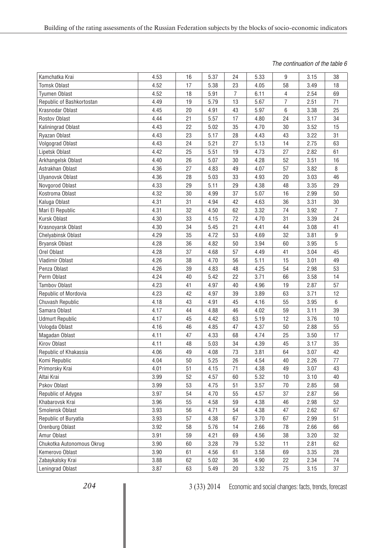#### *The continuation of the table 6*

| 9<br>4.53<br>16<br>5.37<br>5.33<br>38<br>Kamchatka Krai<br>24<br>3.15<br>4.52<br>17<br>23<br>58<br>18<br><b>Tomsk Oblast</b><br>5.38<br>4.05<br>3.49<br>7<br>4.52<br>5.91<br>6.11<br>2.54<br>18<br>4<br>69<br><b>Tyumen Oblast</b><br>$\overline{7}$<br>19<br>5.79<br>13<br>5.67<br>2.51<br>Republic of Bashkortostan<br>4.49<br>71<br>5.97<br>$\,6\,$<br>Krasnodar Oblast<br>4.45<br>20<br>4.91<br>43<br>3.38<br>25<br>Rostov Oblast<br>21<br>5.57<br>17<br>4.80<br>24<br>3.17<br>4.44<br>34<br>22<br>5.02<br>35<br>4.70<br>30<br>15<br>Kaliningrad Oblast<br>4.43<br>3.52<br>23<br>5.17<br>4.43<br>31<br>Ryazan Oblast<br>4.43<br>28<br>43<br>3.22<br>5.21<br>27<br>5.13<br>63<br>Volgograd Oblast<br>24<br>14<br>2.75<br>4.43<br>25<br>19<br>27<br>Lipetsk Oblast<br>4.42<br>5.51<br>4.73<br>2.82<br>61<br>30<br>Arkhangelsk Oblast<br>4.40<br>26<br>5.07<br>4.28<br>52<br>3.51<br>16<br>Astrakhan Oblast<br>4.36<br>27<br>4.83<br>49<br>4.07<br>57<br>3.82<br>8<br>4.36<br>28<br>5.03<br>33<br>4.93<br>20<br>3.03<br>46<br><b>Ulyanovsk Oblast</b><br>29<br>5.11<br>29<br>4.38<br>48<br>3.35<br>Novgorod Oblast<br>4.33<br>29<br>5.07<br>16<br>50<br>Kostroma Oblast<br>4.32<br>30<br>4.99<br>37<br>2.99<br>Kaluga Oblast<br>42<br>4.63<br>36<br>3.31<br>30<br>4.31<br>31<br>4.94<br>Mari El Republic<br>4.31<br>32<br>4.50<br>62<br>3.32<br>74<br>3.92<br>7<br>72<br>33<br>4.15<br>4.70<br>31<br>3.39<br>24<br>Kursk Oblast<br>4.30<br>4.30<br>34<br>21<br>4.41<br>44<br>3.08<br>41<br>Krasnoyarsk Oblast<br>5.45<br>35<br>53<br>32<br>3.81<br>4.29<br>4.72<br>4.69<br>9<br><b>Chelyabinsk Oblast</b><br>5<br>4.28<br>36<br>4.82<br>50<br>3.94<br>60<br>3.95<br>Bryansk Oblast<br>Orel Oblast<br>37<br>57<br>45<br>4.28<br>4.68<br>4.49<br>41<br>3.04<br>5.11<br>Vladimir Oblast<br>4.26<br>38<br>4.70<br>56<br>15<br>3.01<br>49<br>54<br>53<br>39<br>4.83<br>48<br>4.25<br>2.98<br>Penza Oblast<br>4.26<br>22<br>40<br>5.42<br>3.71<br>66<br>Perm Oblast<br>4.24<br>3.58<br>14<br>41<br>40<br>57<br><b>Tambov Oblast</b><br>4.23<br>4.97<br>4.96<br>19<br>2.87<br>4.23<br>42<br>39<br>3.89<br>63<br>3.71<br>Republic of Mordovia<br>4.97<br>12<br>43<br>4.91<br>4.16<br>55<br>3.95<br>6<br>Chuvash Republic<br>4.18<br>45<br>Samara Oblast<br>4.88<br>4.02<br>59<br>3.11<br>39<br>4.17<br>44<br>46<br><b>Udmurt Republic</b><br>4.17<br>45<br>4.42<br>63<br>5.19<br>12<br>3.76<br>$10$<br>47<br>4.37<br>50<br>2.88<br>55<br>Vologda Oblast<br>4.16<br>46<br>4.85<br>47<br>4.33<br>68<br>25<br>3.50<br>17<br>Magadan Oblast<br>4.11<br>4.74<br>Kirov Oblast<br>48<br>34<br>45<br>3.17<br>35<br>4.11<br>5.03<br>4.39<br>73<br>Republic of Khakassia<br>4.06<br>49<br>4.08<br>3.81<br>64<br>3.07<br>42<br>50<br>5.25<br>26<br>4.54<br>40<br>77<br>Komi Republic<br>4.04<br>2.26<br>4.01<br>51<br>4.15<br>4.38<br>49<br>3.07<br>43<br>Primorsky Krai<br>71<br>3.99<br>52<br>5.32<br>$10$<br>$40\,$<br>Altai Krai<br>4.57<br>60<br>3.10<br>Pskov Oblast<br>53<br>3.57<br>58<br>3.99<br>4.75<br>51<br>70<br>2.85<br>Republic of Adygea<br>3.97<br>54<br>4.70<br>55<br>4.57<br>37<br>2.87<br>56<br>Khabarovsk Krai<br>55<br>4.58<br>59<br>4.38<br>46<br>52<br>3.96<br>2.98<br>Smolensk Oblast<br>54<br>3.93<br>56<br>4.71<br>4.38<br>47<br>2.62<br>67<br>Republic of Buryatia<br>3.93<br>57<br>4.38<br>67<br>3.70<br>67<br>2.99<br>51<br>Orenburg Oblast<br>3.92<br>58<br>5.76<br>14<br>2.66<br>78<br>2.66<br>66<br>Amur Oblast<br>3.91<br>59<br>4.21<br>69<br>4.56<br>38<br>32<br>3.20<br>3.90<br>3.28<br>79<br>5.32<br>62<br>Chukotka Autonomous Okrug<br>60<br>11<br>2.81<br>3.58<br>Kemerovo Oblast<br>3.90<br>61<br>4.56<br>61<br>69<br>3.35<br>28<br>22<br>3.88<br>62<br>5.02<br>36<br>74<br>Zabaykalsky Krai<br>4.90<br>2.34<br>$20\,$<br>3.32<br>Leningrad Oblast<br>3.87<br>63<br>5.49<br>75<br>37<br>3.15 |  |  |  |  |  |
|--------------------------------------------------------------------------------------------------------------------------------------------------------------------------------------------------------------------------------------------------------------------------------------------------------------------------------------------------------------------------------------------------------------------------------------------------------------------------------------------------------------------------------------------------------------------------------------------------------------------------------------------------------------------------------------------------------------------------------------------------------------------------------------------------------------------------------------------------------------------------------------------------------------------------------------------------------------------------------------------------------------------------------------------------------------------------------------------------------------------------------------------------------------------------------------------------------------------------------------------------------------------------------------------------------------------------------------------------------------------------------------------------------------------------------------------------------------------------------------------------------------------------------------------------------------------------------------------------------------------------------------------------------------------------------------------------------------------------------------------------------------------------------------------------------------------------------------------------------------------------------------------------------------------------------------------------------------------------------------------------------------------------------------------------------------------------------------------------------------------------------------------------------------------------------------------------------------------------------------------------------------------------------------------------------------------------------------------------------------------------------------------------------------------------------------------------------------------------------------------------------------------------------------------------------------------------------------------------------------------------------------------------------------------------------------------------------------------------------------------------------------------------------------------------------------------------------------------------------------------------------------------------------------------------------------------------------------------------------------------------------------------------------------------------------------------------------------------------------------------------------------------------------------------------------------------------------------------------------------------------------------------------------------------------------------------------------------------------------------------------------------------------------------------------------------------------------------------------------------------------------------------------------------------------------------------------------------------------------------------------------------------------------------------------------------------------------------------------------------------------------------------------------------------------------------------|--|--|--|--|--|
|                                                                                                                                                                                                                                                                                                                                                                                                                                                                                                                                                                                                                                                                                                                                                                                                                                                                                                                                                                                                                                                                                                                                                                                                                                                                                                                                                                                                                                                                                                                                                                                                                                                                                                                                                                                                                                                                                                                                                                                                                                                                                                                                                                                                                                                                                                                                                                                                                                                                                                                                                                                                                                                                                                                                                                                                                                                                                                                                                                                                                                                                                                                                                                                                                                                                                                                                                                                                                                                                                                                                                                                                                                                                                                                                                                                                                    |  |  |  |  |  |
|                                                                                                                                                                                                                                                                                                                                                                                                                                                                                                                                                                                                                                                                                                                                                                                                                                                                                                                                                                                                                                                                                                                                                                                                                                                                                                                                                                                                                                                                                                                                                                                                                                                                                                                                                                                                                                                                                                                                                                                                                                                                                                                                                                                                                                                                                                                                                                                                                                                                                                                                                                                                                                                                                                                                                                                                                                                                                                                                                                                                                                                                                                                                                                                                                                                                                                                                                                                                                                                                                                                                                                                                                                                                                                                                                                                                                    |  |  |  |  |  |
|                                                                                                                                                                                                                                                                                                                                                                                                                                                                                                                                                                                                                                                                                                                                                                                                                                                                                                                                                                                                                                                                                                                                                                                                                                                                                                                                                                                                                                                                                                                                                                                                                                                                                                                                                                                                                                                                                                                                                                                                                                                                                                                                                                                                                                                                                                                                                                                                                                                                                                                                                                                                                                                                                                                                                                                                                                                                                                                                                                                                                                                                                                                                                                                                                                                                                                                                                                                                                                                                                                                                                                                                                                                                                                                                                                                                                    |  |  |  |  |  |
|                                                                                                                                                                                                                                                                                                                                                                                                                                                                                                                                                                                                                                                                                                                                                                                                                                                                                                                                                                                                                                                                                                                                                                                                                                                                                                                                                                                                                                                                                                                                                                                                                                                                                                                                                                                                                                                                                                                                                                                                                                                                                                                                                                                                                                                                                                                                                                                                                                                                                                                                                                                                                                                                                                                                                                                                                                                                                                                                                                                                                                                                                                                                                                                                                                                                                                                                                                                                                                                                                                                                                                                                                                                                                                                                                                                                                    |  |  |  |  |  |
|                                                                                                                                                                                                                                                                                                                                                                                                                                                                                                                                                                                                                                                                                                                                                                                                                                                                                                                                                                                                                                                                                                                                                                                                                                                                                                                                                                                                                                                                                                                                                                                                                                                                                                                                                                                                                                                                                                                                                                                                                                                                                                                                                                                                                                                                                                                                                                                                                                                                                                                                                                                                                                                                                                                                                                                                                                                                                                                                                                                                                                                                                                                                                                                                                                                                                                                                                                                                                                                                                                                                                                                                                                                                                                                                                                                                                    |  |  |  |  |  |
|                                                                                                                                                                                                                                                                                                                                                                                                                                                                                                                                                                                                                                                                                                                                                                                                                                                                                                                                                                                                                                                                                                                                                                                                                                                                                                                                                                                                                                                                                                                                                                                                                                                                                                                                                                                                                                                                                                                                                                                                                                                                                                                                                                                                                                                                                                                                                                                                                                                                                                                                                                                                                                                                                                                                                                                                                                                                                                                                                                                                                                                                                                                                                                                                                                                                                                                                                                                                                                                                                                                                                                                                                                                                                                                                                                                                                    |  |  |  |  |  |
|                                                                                                                                                                                                                                                                                                                                                                                                                                                                                                                                                                                                                                                                                                                                                                                                                                                                                                                                                                                                                                                                                                                                                                                                                                                                                                                                                                                                                                                                                                                                                                                                                                                                                                                                                                                                                                                                                                                                                                                                                                                                                                                                                                                                                                                                                                                                                                                                                                                                                                                                                                                                                                                                                                                                                                                                                                                                                                                                                                                                                                                                                                                                                                                                                                                                                                                                                                                                                                                                                                                                                                                                                                                                                                                                                                                                                    |  |  |  |  |  |
|                                                                                                                                                                                                                                                                                                                                                                                                                                                                                                                                                                                                                                                                                                                                                                                                                                                                                                                                                                                                                                                                                                                                                                                                                                                                                                                                                                                                                                                                                                                                                                                                                                                                                                                                                                                                                                                                                                                                                                                                                                                                                                                                                                                                                                                                                                                                                                                                                                                                                                                                                                                                                                                                                                                                                                                                                                                                                                                                                                                                                                                                                                                                                                                                                                                                                                                                                                                                                                                                                                                                                                                                                                                                                                                                                                                                                    |  |  |  |  |  |
|                                                                                                                                                                                                                                                                                                                                                                                                                                                                                                                                                                                                                                                                                                                                                                                                                                                                                                                                                                                                                                                                                                                                                                                                                                                                                                                                                                                                                                                                                                                                                                                                                                                                                                                                                                                                                                                                                                                                                                                                                                                                                                                                                                                                                                                                                                                                                                                                                                                                                                                                                                                                                                                                                                                                                                                                                                                                                                                                                                                                                                                                                                                                                                                                                                                                                                                                                                                                                                                                                                                                                                                                                                                                                                                                                                                                                    |  |  |  |  |  |
|                                                                                                                                                                                                                                                                                                                                                                                                                                                                                                                                                                                                                                                                                                                                                                                                                                                                                                                                                                                                                                                                                                                                                                                                                                                                                                                                                                                                                                                                                                                                                                                                                                                                                                                                                                                                                                                                                                                                                                                                                                                                                                                                                                                                                                                                                                                                                                                                                                                                                                                                                                                                                                                                                                                                                                                                                                                                                                                                                                                                                                                                                                                                                                                                                                                                                                                                                                                                                                                                                                                                                                                                                                                                                                                                                                                                                    |  |  |  |  |  |
|                                                                                                                                                                                                                                                                                                                                                                                                                                                                                                                                                                                                                                                                                                                                                                                                                                                                                                                                                                                                                                                                                                                                                                                                                                                                                                                                                                                                                                                                                                                                                                                                                                                                                                                                                                                                                                                                                                                                                                                                                                                                                                                                                                                                                                                                                                                                                                                                                                                                                                                                                                                                                                                                                                                                                                                                                                                                                                                                                                                                                                                                                                                                                                                                                                                                                                                                                                                                                                                                                                                                                                                                                                                                                                                                                                                                                    |  |  |  |  |  |
|                                                                                                                                                                                                                                                                                                                                                                                                                                                                                                                                                                                                                                                                                                                                                                                                                                                                                                                                                                                                                                                                                                                                                                                                                                                                                                                                                                                                                                                                                                                                                                                                                                                                                                                                                                                                                                                                                                                                                                                                                                                                                                                                                                                                                                                                                                                                                                                                                                                                                                                                                                                                                                                                                                                                                                                                                                                                                                                                                                                                                                                                                                                                                                                                                                                                                                                                                                                                                                                                                                                                                                                                                                                                                                                                                                                                                    |  |  |  |  |  |
|                                                                                                                                                                                                                                                                                                                                                                                                                                                                                                                                                                                                                                                                                                                                                                                                                                                                                                                                                                                                                                                                                                                                                                                                                                                                                                                                                                                                                                                                                                                                                                                                                                                                                                                                                                                                                                                                                                                                                                                                                                                                                                                                                                                                                                                                                                                                                                                                                                                                                                                                                                                                                                                                                                                                                                                                                                                                                                                                                                                                                                                                                                                                                                                                                                                                                                                                                                                                                                                                                                                                                                                                                                                                                                                                                                                                                    |  |  |  |  |  |
|                                                                                                                                                                                                                                                                                                                                                                                                                                                                                                                                                                                                                                                                                                                                                                                                                                                                                                                                                                                                                                                                                                                                                                                                                                                                                                                                                                                                                                                                                                                                                                                                                                                                                                                                                                                                                                                                                                                                                                                                                                                                                                                                                                                                                                                                                                                                                                                                                                                                                                                                                                                                                                                                                                                                                                                                                                                                                                                                                                                                                                                                                                                                                                                                                                                                                                                                                                                                                                                                                                                                                                                                                                                                                                                                                                                                                    |  |  |  |  |  |
|                                                                                                                                                                                                                                                                                                                                                                                                                                                                                                                                                                                                                                                                                                                                                                                                                                                                                                                                                                                                                                                                                                                                                                                                                                                                                                                                                                                                                                                                                                                                                                                                                                                                                                                                                                                                                                                                                                                                                                                                                                                                                                                                                                                                                                                                                                                                                                                                                                                                                                                                                                                                                                                                                                                                                                                                                                                                                                                                                                                                                                                                                                                                                                                                                                                                                                                                                                                                                                                                                                                                                                                                                                                                                                                                                                                                                    |  |  |  |  |  |
|                                                                                                                                                                                                                                                                                                                                                                                                                                                                                                                                                                                                                                                                                                                                                                                                                                                                                                                                                                                                                                                                                                                                                                                                                                                                                                                                                                                                                                                                                                                                                                                                                                                                                                                                                                                                                                                                                                                                                                                                                                                                                                                                                                                                                                                                                                                                                                                                                                                                                                                                                                                                                                                                                                                                                                                                                                                                                                                                                                                                                                                                                                                                                                                                                                                                                                                                                                                                                                                                                                                                                                                                                                                                                                                                                                                                                    |  |  |  |  |  |
|                                                                                                                                                                                                                                                                                                                                                                                                                                                                                                                                                                                                                                                                                                                                                                                                                                                                                                                                                                                                                                                                                                                                                                                                                                                                                                                                                                                                                                                                                                                                                                                                                                                                                                                                                                                                                                                                                                                                                                                                                                                                                                                                                                                                                                                                                                                                                                                                                                                                                                                                                                                                                                                                                                                                                                                                                                                                                                                                                                                                                                                                                                                                                                                                                                                                                                                                                                                                                                                                                                                                                                                                                                                                                                                                                                                                                    |  |  |  |  |  |
|                                                                                                                                                                                                                                                                                                                                                                                                                                                                                                                                                                                                                                                                                                                                                                                                                                                                                                                                                                                                                                                                                                                                                                                                                                                                                                                                                                                                                                                                                                                                                                                                                                                                                                                                                                                                                                                                                                                                                                                                                                                                                                                                                                                                                                                                                                                                                                                                                                                                                                                                                                                                                                                                                                                                                                                                                                                                                                                                                                                                                                                                                                                                                                                                                                                                                                                                                                                                                                                                                                                                                                                                                                                                                                                                                                                                                    |  |  |  |  |  |
|                                                                                                                                                                                                                                                                                                                                                                                                                                                                                                                                                                                                                                                                                                                                                                                                                                                                                                                                                                                                                                                                                                                                                                                                                                                                                                                                                                                                                                                                                                                                                                                                                                                                                                                                                                                                                                                                                                                                                                                                                                                                                                                                                                                                                                                                                                                                                                                                                                                                                                                                                                                                                                                                                                                                                                                                                                                                                                                                                                                                                                                                                                                                                                                                                                                                                                                                                                                                                                                                                                                                                                                                                                                                                                                                                                                                                    |  |  |  |  |  |
|                                                                                                                                                                                                                                                                                                                                                                                                                                                                                                                                                                                                                                                                                                                                                                                                                                                                                                                                                                                                                                                                                                                                                                                                                                                                                                                                                                                                                                                                                                                                                                                                                                                                                                                                                                                                                                                                                                                                                                                                                                                                                                                                                                                                                                                                                                                                                                                                                                                                                                                                                                                                                                                                                                                                                                                                                                                                                                                                                                                                                                                                                                                                                                                                                                                                                                                                                                                                                                                                                                                                                                                                                                                                                                                                                                                                                    |  |  |  |  |  |
|                                                                                                                                                                                                                                                                                                                                                                                                                                                                                                                                                                                                                                                                                                                                                                                                                                                                                                                                                                                                                                                                                                                                                                                                                                                                                                                                                                                                                                                                                                                                                                                                                                                                                                                                                                                                                                                                                                                                                                                                                                                                                                                                                                                                                                                                                                                                                                                                                                                                                                                                                                                                                                                                                                                                                                                                                                                                                                                                                                                                                                                                                                                                                                                                                                                                                                                                                                                                                                                                                                                                                                                                                                                                                                                                                                                                                    |  |  |  |  |  |
|                                                                                                                                                                                                                                                                                                                                                                                                                                                                                                                                                                                                                                                                                                                                                                                                                                                                                                                                                                                                                                                                                                                                                                                                                                                                                                                                                                                                                                                                                                                                                                                                                                                                                                                                                                                                                                                                                                                                                                                                                                                                                                                                                                                                                                                                                                                                                                                                                                                                                                                                                                                                                                                                                                                                                                                                                                                                                                                                                                                                                                                                                                                                                                                                                                                                                                                                                                                                                                                                                                                                                                                                                                                                                                                                                                                                                    |  |  |  |  |  |
|                                                                                                                                                                                                                                                                                                                                                                                                                                                                                                                                                                                                                                                                                                                                                                                                                                                                                                                                                                                                                                                                                                                                                                                                                                                                                                                                                                                                                                                                                                                                                                                                                                                                                                                                                                                                                                                                                                                                                                                                                                                                                                                                                                                                                                                                                                                                                                                                                                                                                                                                                                                                                                                                                                                                                                                                                                                                                                                                                                                                                                                                                                                                                                                                                                                                                                                                                                                                                                                                                                                                                                                                                                                                                                                                                                                                                    |  |  |  |  |  |
|                                                                                                                                                                                                                                                                                                                                                                                                                                                                                                                                                                                                                                                                                                                                                                                                                                                                                                                                                                                                                                                                                                                                                                                                                                                                                                                                                                                                                                                                                                                                                                                                                                                                                                                                                                                                                                                                                                                                                                                                                                                                                                                                                                                                                                                                                                                                                                                                                                                                                                                                                                                                                                                                                                                                                                                                                                                                                                                                                                                                                                                                                                                                                                                                                                                                                                                                                                                                                                                                                                                                                                                                                                                                                                                                                                                                                    |  |  |  |  |  |
|                                                                                                                                                                                                                                                                                                                                                                                                                                                                                                                                                                                                                                                                                                                                                                                                                                                                                                                                                                                                                                                                                                                                                                                                                                                                                                                                                                                                                                                                                                                                                                                                                                                                                                                                                                                                                                                                                                                                                                                                                                                                                                                                                                                                                                                                                                                                                                                                                                                                                                                                                                                                                                                                                                                                                                                                                                                                                                                                                                                                                                                                                                                                                                                                                                                                                                                                                                                                                                                                                                                                                                                                                                                                                                                                                                                                                    |  |  |  |  |  |
|                                                                                                                                                                                                                                                                                                                                                                                                                                                                                                                                                                                                                                                                                                                                                                                                                                                                                                                                                                                                                                                                                                                                                                                                                                                                                                                                                                                                                                                                                                                                                                                                                                                                                                                                                                                                                                                                                                                                                                                                                                                                                                                                                                                                                                                                                                                                                                                                                                                                                                                                                                                                                                                                                                                                                                                                                                                                                                                                                                                                                                                                                                                                                                                                                                                                                                                                                                                                                                                                                                                                                                                                                                                                                                                                                                                                                    |  |  |  |  |  |
|                                                                                                                                                                                                                                                                                                                                                                                                                                                                                                                                                                                                                                                                                                                                                                                                                                                                                                                                                                                                                                                                                                                                                                                                                                                                                                                                                                                                                                                                                                                                                                                                                                                                                                                                                                                                                                                                                                                                                                                                                                                                                                                                                                                                                                                                                                                                                                                                                                                                                                                                                                                                                                                                                                                                                                                                                                                                                                                                                                                                                                                                                                                                                                                                                                                                                                                                                                                                                                                                                                                                                                                                                                                                                                                                                                                                                    |  |  |  |  |  |
|                                                                                                                                                                                                                                                                                                                                                                                                                                                                                                                                                                                                                                                                                                                                                                                                                                                                                                                                                                                                                                                                                                                                                                                                                                                                                                                                                                                                                                                                                                                                                                                                                                                                                                                                                                                                                                                                                                                                                                                                                                                                                                                                                                                                                                                                                                                                                                                                                                                                                                                                                                                                                                                                                                                                                                                                                                                                                                                                                                                                                                                                                                                                                                                                                                                                                                                                                                                                                                                                                                                                                                                                                                                                                                                                                                                                                    |  |  |  |  |  |
|                                                                                                                                                                                                                                                                                                                                                                                                                                                                                                                                                                                                                                                                                                                                                                                                                                                                                                                                                                                                                                                                                                                                                                                                                                                                                                                                                                                                                                                                                                                                                                                                                                                                                                                                                                                                                                                                                                                                                                                                                                                                                                                                                                                                                                                                                                                                                                                                                                                                                                                                                                                                                                                                                                                                                                                                                                                                                                                                                                                                                                                                                                                                                                                                                                                                                                                                                                                                                                                                                                                                                                                                                                                                                                                                                                                                                    |  |  |  |  |  |
|                                                                                                                                                                                                                                                                                                                                                                                                                                                                                                                                                                                                                                                                                                                                                                                                                                                                                                                                                                                                                                                                                                                                                                                                                                                                                                                                                                                                                                                                                                                                                                                                                                                                                                                                                                                                                                                                                                                                                                                                                                                                                                                                                                                                                                                                                                                                                                                                                                                                                                                                                                                                                                                                                                                                                                                                                                                                                                                                                                                                                                                                                                                                                                                                                                                                                                                                                                                                                                                                                                                                                                                                                                                                                                                                                                                                                    |  |  |  |  |  |
|                                                                                                                                                                                                                                                                                                                                                                                                                                                                                                                                                                                                                                                                                                                                                                                                                                                                                                                                                                                                                                                                                                                                                                                                                                                                                                                                                                                                                                                                                                                                                                                                                                                                                                                                                                                                                                                                                                                                                                                                                                                                                                                                                                                                                                                                                                                                                                                                                                                                                                                                                                                                                                                                                                                                                                                                                                                                                                                                                                                                                                                                                                                                                                                                                                                                                                                                                                                                                                                                                                                                                                                                                                                                                                                                                                                                                    |  |  |  |  |  |
|                                                                                                                                                                                                                                                                                                                                                                                                                                                                                                                                                                                                                                                                                                                                                                                                                                                                                                                                                                                                                                                                                                                                                                                                                                                                                                                                                                                                                                                                                                                                                                                                                                                                                                                                                                                                                                                                                                                                                                                                                                                                                                                                                                                                                                                                                                                                                                                                                                                                                                                                                                                                                                                                                                                                                                                                                                                                                                                                                                                                                                                                                                                                                                                                                                                                                                                                                                                                                                                                                                                                                                                                                                                                                                                                                                                                                    |  |  |  |  |  |
|                                                                                                                                                                                                                                                                                                                                                                                                                                                                                                                                                                                                                                                                                                                                                                                                                                                                                                                                                                                                                                                                                                                                                                                                                                                                                                                                                                                                                                                                                                                                                                                                                                                                                                                                                                                                                                                                                                                                                                                                                                                                                                                                                                                                                                                                                                                                                                                                                                                                                                                                                                                                                                                                                                                                                                                                                                                                                                                                                                                                                                                                                                                                                                                                                                                                                                                                                                                                                                                                                                                                                                                                                                                                                                                                                                                                                    |  |  |  |  |  |
|                                                                                                                                                                                                                                                                                                                                                                                                                                                                                                                                                                                                                                                                                                                                                                                                                                                                                                                                                                                                                                                                                                                                                                                                                                                                                                                                                                                                                                                                                                                                                                                                                                                                                                                                                                                                                                                                                                                                                                                                                                                                                                                                                                                                                                                                                                                                                                                                                                                                                                                                                                                                                                                                                                                                                                                                                                                                                                                                                                                                                                                                                                                                                                                                                                                                                                                                                                                                                                                                                                                                                                                                                                                                                                                                                                                                                    |  |  |  |  |  |
|                                                                                                                                                                                                                                                                                                                                                                                                                                                                                                                                                                                                                                                                                                                                                                                                                                                                                                                                                                                                                                                                                                                                                                                                                                                                                                                                                                                                                                                                                                                                                                                                                                                                                                                                                                                                                                                                                                                                                                                                                                                                                                                                                                                                                                                                                                                                                                                                                                                                                                                                                                                                                                                                                                                                                                                                                                                                                                                                                                                                                                                                                                                                                                                                                                                                                                                                                                                                                                                                                                                                                                                                                                                                                                                                                                                                                    |  |  |  |  |  |
|                                                                                                                                                                                                                                                                                                                                                                                                                                                                                                                                                                                                                                                                                                                                                                                                                                                                                                                                                                                                                                                                                                                                                                                                                                                                                                                                                                                                                                                                                                                                                                                                                                                                                                                                                                                                                                                                                                                                                                                                                                                                                                                                                                                                                                                                                                                                                                                                                                                                                                                                                                                                                                                                                                                                                                                                                                                                                                                                                                                                                                                                                                                                                                                                                                                                                                                                                                                                                                                                                                                                                                                                                                                                                                                                                                                                                    |  |  |  |  |  |
|                                                                                                                                                                                                                                                                                                                                                                                                                                                                                                                                                                                                                                                                                                                                                                                                                                                                                                                                                                                                                                                                                                                                                                                                                                                                                                                                                                                                                                                                                                                                                                                                                                                                                                                                                                                                                                                                                                                                                                                                                                                                                                                                                                                                                                                                                                                                                                                                                                                                                                                                                                                                                                                                                                                                                                                                                                                                                                                                                                                                                                                                                                                                                                                                                                                                                                                                                                                                                                                                                                                                                                                                                                                                                                                                                                                                                    |  |  |  |  |  |
|                                                                                                                                                                                                                                                                                                                                                                                                                                                                                                                                                                                                                                                                                                                                                                                                                                                                                                                                                                                                                                                                                                                                                                                                                                                                                                                                                                                                                                                                                                                                                                                                                                                                                                                                                                                                                                                                                                                                                                                                                                                                                                                                                                                                                                                                                                                                                                                                                                                                                                                                                                                                                                                                                                                                                                                                                                                                                                                                                                                                                                                                                                                                                                                                                                                                                                                                                                                                                                                                                                                                                                                                                                                                                                                                                                                                                    |  |  |  |  |  |
|                                                                                                                                                                                                                                                                                                                                                                                                                                                                                                                                                                                                                                                                                                                                                                                                                                                                                                                                                                                                                                                                                                                                                                                                                                                                                                                                                                                                                                                                                                                                                                                                                                                                                                                                                                                                                                                                                                                                                                                                                                                                                                                                                                                                                                                                                                                                                                                                                                                                                                                                                                                                                                                                                                                                                                                                                                                                                                                                                                                                                                                                                                                                                                                                                                                                                                                                                                                                                                                                                                                                                                                                                                                                                                                                                                                                                    |  |  |  |  |  |
|                                                                                                                                                                                                                                                                                                                                                                                                                                                                                                                                                                                                                                                                                                                                                                                                                                                                                                                                                                                                                                                                                                                                                                                                                                                                                                                                                                                                                                                                                                                                                                                                                                                                                                                                                                                                                                                                                                                                                                                                                                                                                                                                                                                                                                                                                                                                                                                                                                                                                                                                                                                                                                                                                                                                                                                                                                                                                                                                                                                                                                                                                                                                                                                                                                                                                                                                                                                                                                                                                                                                                                                                                                                                                                                                                                                                                    |  |  |  |  |  |
|                                                                                                                                                                                                                                                                                                                                                                                                                                                                                                                                                                                                                                                                                                                                                                                                                                                                                                                                                                                                                                                                                                                                                                                                                                                                                                                                                                                                                                                                                                                                                                                                                                                                                                                                                                                                                                                                                                                                                                                                                                                                                                                                                                                                                                                                                                                                                                                                                                                                                                                                                                                                                                                                                                                                                                                                                                                                                                                                                                                                                                                                                                                                                                                                                                                                                                                                                                                                                                                                                                                                                                                                                                                                                                                                                                                                                    |  |  |  |  |  |
|                                                                                                                                                                                                                                                                                                                                                                                                                                                                                                                                                                                                                                                                                                                                                                                                                                                                                                                                                                                                                                                                                                                                                                                                                                                                                                                                                                                                                                                                                                                                                                                                                                                                                                                                                                                                                                                                                                                                                                                                                                                                                                                                                                                                                                                                                                                                                                                                                                                                                                                                                                                                                                                                                                                                                                                                                                                                                                                                                                                                                                                                                                                                                                                                                                                                                                                                                                                                                                                                                                                                                                                                                                                                                                                                                                                                                    |  |  |  |  |  |
|                                                                                                                                                                                                                                                                                                                                                                                                                                                                                                                                                                                                                                                                                                                                                                                                                                                                                                                                                                                                                                                                                                                                                                                                                                                                                                                                                                                                                                                                                                                                                                                                                                                                                                                                                                                                                                                                                                                                                                                                                                                                                                                                                                                                                                                                                                                                                                                                                                                                                                                                                                                                                                                                                                                                                                                                                                                                                                                                                                                                                                                                                                                                                                                                                                                                                                                                                                                                                                                                                                                                                                                                                                                                                                                                                                                                                    |  |  |  |  |  |
|                                                                                                                                                                                                                                                                                                                                                                                                                                                                                                                                                                                                                                                                                                                                                                                                                                                                                                                                                                                                                                                                                                                                                                                                                                                                                                                                                                                                                                                                                                                                                                                                                                                                                                                                                                                                                                                                                                                                                                                                                                                                                                                                                                                                                                                                                                                                                                                                                                                                                                                                                                                                                                                                                                                                                                                                                                                                                                                                                                                                                                                                                                                                                                                                                                                                                                                                                                                                                                                                                                                                                                                                                                                                                                                                                                                                                    |  |  |  |  |  |
|                                                                                                                                                                                                                                                                                                                                                                                                                                                                                                                                                                                                                                                                                                                                                                                                                                                                                                                                                                                                                                                                                                                                                                                                                                                                                                                                                                                                                                                                                                                                                                                                                                                                                                                                                                                                                                                                                                                                                                                                                                                                                                                                                                                                                                                                                                                                                                                                                                                                                                                                                                                                                                                                                                                                                                                                                                                                                                                                                                                                                                                                                                                                                                                                                                                                                                                                                                                                                                                                                                                                                                                                                                                                                                                                                                                                                    |  |  |  |  |  |
|                                                                                                                                                                                                                                                                                                                                                                                                                                                                                                                                                                                                                                                                                                                                                                                                                                                                                                                                                                                                                                                                                                                                                                                                                                                                                                                                                                                                                                                                                                                                                                                                                                                                                                                                                                                                                                                                                                                                                                                                                                                                                                                                                                                                                                                                                                                                                                                                                                                                                                                                                                                                                                                                                                                                                                                                                                                                                                                                                                                                                                                                                                                                                                                                                                                                                                                                                                                                                                                                                                                                                                                                                                                                                                                                                                                                                    |  |  |  |  |  |
|                                                                                                                                                                                                                                                                                                                                                                                                                                                                                                                                                                                                                                                                                                                                                                                                                                                                                                                                                                                                                                                                                                                                                                                                                                                                                                                                                                                                                                                                                                                                                                                                                                                                                                                                                                                                                                                                                                                                                                                                                                                                                                                                                                                                                                                                                                                                                                                                                                                                                                                                                                                                                                                                                                                                                                                                                                                                                                                                                                                                                                                                                                                                                                                                                                                                                                                                                                                                                                                                                                                                                                                                                                                                                                                                                                                                                    |  |  |  |  |  |
|                                                                                                                                                                                                                                                                                                                                                                                                                                                                                                                                                                                                                                                                                                                                                                                                                                                                                                                                                                                                                                                                                                                                                                                                                                                                                                                                                                                                                                                                                                                                                                                                                                                                                                                                                                                                                                                                                                                                                                                                                                                                                                                                                                                                                                                                                                                                                                                                                                                                                                                                                                                                                                                                                                                                                                                                                                                                                                                                                                                                                                                                                                                                                                                                                                                                                                                                                                                                                                                                                                                                                                                                                                                                                                                                                                                                                    |  |  |  |  |  |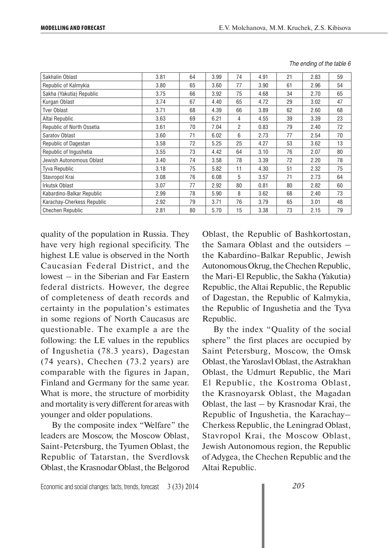| Sakhalin Oblast            | 3.81 | 64 | 3.99 | 74 | 4.91 | 21 | 2.83 | 59 |
|----------------------------|------|----|------|----|------|----|------|----|
| Republic of Kalmykia       | 3.80 | 65 | 3.60 | 77 | 3.90 | 61 | 2.96 | 54 |
| Sakha (Yakutia) Republic   | 3.75 | 66 | 3.92 | 75 | 4.68 | 34 | 2.70 | 65 |
| Kurgan Oblast              | 3.74 | 67 | 4.40 | 65 | 4.72 | 29 | 3.02 | 47 |
| <b>Tver Oblast</b>         | 3.71 | 68 | 4.39 | 66 | 3.89 | 62 | 2.60 | 68 |
| Altai Republic             | 3.63 | 69 | 6.21 | 4  | 4.55 | 39 | 3.39 | 23 |
| Republic of North Ossetia  | 3.61 | 70 | 7.04 | 2  | 0.83 | 79 | 2.40 | 72 |
| Saratov Oblast             | 3.60 | 71 | 6.02 | 6  | 2.73 | 77 | 2.54 | 70 |
| Republic of Dagestan       | 3.58 | 72 | 5.25 | 25 | 4.27 | 53 | 3.62 | 13 |
| Republic of Ingushetia     | 3.55 | 73 | 4.42 | 64 | 3.10 | 76 | 2.07 | 80 |
| Jewish Autonomous Oblast   | 3.40 | 74 | 3.58 | 78 | 3.39 | 72 | 2.20 | 78 |
| <b>Tyva Republic</b>       | 3.18 | 75 | 5.82 | 11 | 4.30 | 51 | 2.32 | 75 |
| Stavropol Krai             | 3.08 | 76 | 6.08 | 5  | 3.57 | 71 | 2.73 | 64 |
| Irkutsk Oblast             | 3.07 | 77 | 2.92 | 80 | 0.81 | 80 | 2.82 | 60 |
| Kabardino-Balkar Republic  | 2.99 | 78 | 5.90 | 8  | 3.62 | 68 | 2.40 | 73 |
| Karachay-Cherkess Republic | 2.92 | 79 | 3.71 | 76 | 3.79 | 65 | 3.01 | 48 |
| <b>Chechen Republic</b>    | 2.81 | 80 | 5.70 | 15 | 3.38 | 73 | 2.15 | 79 |

*The ending of the table 6*

quality of the population in Russia. They have very high regional specificity. The highest LE value is observed in the North Caucasian Federal District, and the lowest – in the Siberian and Far Eastern federal districts. However, the degree of completeness of death records and certainty in the population's estimates in some regions of North Caucasus are questionable. The example a are the following: the LE values in the republics of Ingushetia (78.3 years), Dagestan (74 years), Chechen (73.2 years) are comparable with the figures in Japan, Finland and Germany for the same year. What is more, the structure of morbidity and mortality is very different for areas with younger and older populations.

By the composite index "Welfare" the leaders are Moscow, the Moscow Oblast, Saint-Petersburg, the Tyumen Oblast, the Republic of Tatarstan, the Sverdlovsk Oblast, the Krasnodar Oblast, the Belgorod Oblast, the Republic of Bashkortostan, the Samara Oblast and the outsiders – the Kabardino-Balkar Republic, Jewish Autonomous Okrug, the Chechen Republic, the Mari-El Republic, the Sakha (Yakutia) Republic, the Altai Republic, the Republic of Dagestan, the Republic of Kalmykia, the Republic of Ingushetia and the Tyva Republic.

By the index "Quality of the social sphere" the first places are occupied by Saint Petersburg, Moscow, the Omsk Oblast, the Yaroslavl Oblast, the Astrakhan Oblast, the Udmurt Republic, the Mari El Republic, the Kostroma Oblast, the Krasnoyarsk Oblast, the Magadan Oblast, the last – by Krasnodar Krai, the Republic of Ingushetia, the Karachay– Cherkess Republic, the Leningrad Oblast, Stavropol Krai, the Moscow Oblast, Jewish Autonomous region, the Republic of Adygea, the Chechen Republic and the Altai Republic.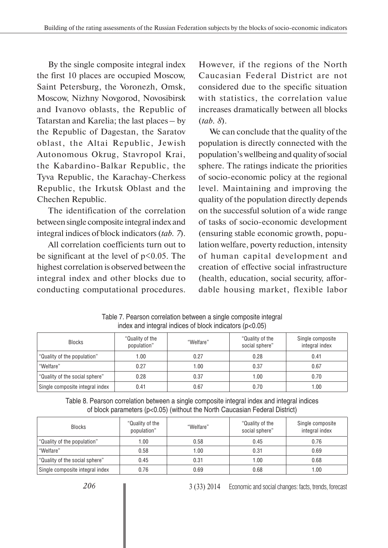By the single composite integral index the first 10 places are occupied Moscow, Saint Petersburg, the Voronezh, Omsk, Moscow, Nizhny Novgorod, Novosibirsk and Ivanovo oblasts, the Republic of Tatarstan and Karelia; the last places – by the Republic of Dagestan, the Saratov oblast, the Altai Republic, Jewish Autonomous Okrug, Stavropol Krai, the Kabardino-Balkar Republic, the Tyva Republic, the Karachay-Cherkess Republic, the Irkutsk Oblast and the Chechen Republic.

The identification of the correlation between single composite integral index and integral indices of block indicators (*tab. 7*).

All correlation coefficients turn out to be significant at the level of  $p<0.05$ . The highest correlation is observed between the integral index and other blocks due to conducting computational procedures.

However, if the regions of the North Caucasian Federal District are not considered due to the specific situation with statistics, the correlation value increases dramatically between all blocks (*tab. 8*).

We can conclude that the quality of the population is directly connected with the population's wellbeing and quality of social sphere. The ratings indicate the priorities of socio-economic policy at the regional level. Maintaining and improving the quality of the population directly depends on the successful solution of a wide range of tasks of socio-economic development (ensuring stable economic growth, population welfare, poverty reduction, intensity of human capital development and creation of effective social infrastructure (health, education, social security, affordable housing market, flexible labor

| <b>Blocks</b>                   | "Quality of the<br>population" | "Welfare" | "Quality of the<br>social sphere" | Single composite<br>integral index |
|---------------------------------|--------------------------------|-----------|-----------------------------------|------------------------------------|
| "Quality of the population"     | 1.00                           | 0.27      | 0.28                              | 0.41                               |
| "Welfare"                       | 0.27                           | 1.00      | 0.37                              | 0.67                               |
| "Quality of the social sphere"  | 0.28                           | 0.37      | 1.00                              | 0.70                               |
| Single composite integral index | 0.41                           | 0.67      | 0.70                              | 1.00                               |

Table 7. Pearson correlation between a single composite integral index and integral indices of block indicators  $(n<0.05)$ 

Table 8. Pearson correlation between a single composite integral index and integral indices of block parameters (p<0.05) (without the North Caucasian Federal District)

| <b>Blocks</b>                   | "Quality of the<br>population" | "Welfare" | "Quality of the<br>social sphere" | Single composite<br>integral index |
|---------------------------------|--------------------------------|-----------|-----------------------------------|------------------------------------|
| "Quality of the population"     | 1.00                           | 0.58      | 0.45                              | 0.76                               |
| "Welfare"                       | 0.58                           | 1.00      | 0.31                              | 0.69                               |
| "Quality of the social sphere"  | 0.45                           | 0.31      | 1.00                              | 0.68                               |
| Single composite integral index | 0.76                           | 0.69      | 0.68                              | .00                                |

3 (33) 2014 Economic and social changes: facts, trends, forecast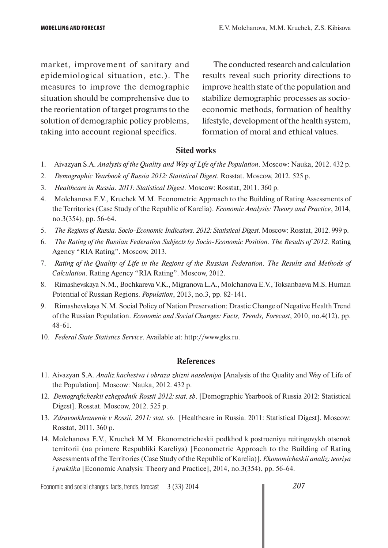market, improvement of sanitary and epidemiological situation, etc.). The measures to improve the demographic situation should be comprehensive due to the reorientation of target programs to the solution of demographic policy problems, taking into account regional specifics.

The conducted research and calculation results reveal such priority directions to improve health state of the population and stabilize demographic processes as socioeconomic methods, formation of healthy lifestyle, development of the health system, formation of moral and ethical values.

## **Sited works**

- 1. Aivazyan S.A. *Analysis of the Quality and Way of Life of the Population*. Moscow: Nauka, 2012. 432 p.
- 2. *Demographic Yearbook of Russia 2012: Statistical Digest*. Rosstat. Moscow, 2012. 525 p.
- 3. *Healthcare in Russia. 2011: Statistical Digest*. Moscow: Rosstat, 2011. 360 p.
- 4. Molchanova E.V., Kruchek M.M. Econometric Approach to the Building of Rating Assessments of the Territories (Case Study of the Republic of Karelia). *Economic Analysis: Theory and Practice*, 2014, no.3(354), pp. 56-64.
- 5. *The Regions of Russia. Socio-Economic Indicators. 2012: Statistical Digest*. Moscow: Rosstat, 2012. 999 p.
- 6. *The Rating of the Russian Federation Subjects by Socio-Economic Position. The Results of 2012*. Rating Agency "RIA Rating". Moscow, 2013.
- 7. *Rating of the Quality of Life in the Regions of the Russian Federation. The Results and Methods of Calculation*. Rating Agency "RIA Rating". Moscow, 2012.
- 8. Rimashevskaya N.M., Bochkareva V.K., Migranova L.A., Molchanova E.V., Toksanbaeva M.S. Human Potential of Russian Regions. *Population*, 2013, no.3, pp. 82-141.
- 9. Rimashevskaya N.M. Social Policy of Nation Preservation: Drastic Change of Negative Health Trend of the Russian Population. *Economic and Social Changes: Facts, Trends, Forecast*, 2010, no.4(12), pp. 48-61.
- 10. *Federal State Statistics Service*. Available at: http://www.gks.ru.

## **References**

- 11. Aivazyan S.A. *Analiz kachestva i obraza zhizni naseleniya* [Analysis of the Quality and Way of Life of the Population]. Moscow: Nauka, 2012. 432 p.
- 12. *Demograficheskii ezhegodnik Rossii 2012: stat. sb*. [Demographic Yearbook of Russia 2012: Statistical Digest]. Rosstat. Moscow, 2012. 525 p.
- 13. *Zdravookhranenie v Rossii. 2011: stat. sb*. [Healthcare in Russia. 2011: Statistical Digest]. Moscow: Rosstat, 2011. 360 p.
- 14. Molchanova E.V., Kruchek M.M. Ekonometricheskii podkhod k postroeniyu reitingovykh otsenok territorii (na primere Respubliki Kareliya) [Econometric Approach to the Building of Rating Assessments of the Territories (Case Study of the Republic of Karelia)]. *Ekonomicheskii analiz: teoriya i praktika* [Economic Analysis: Theory and Practice], 2014, no.3(354), pp. 56-64.

Economic and social changes: facts, trends, forecast 3 (33) 2014